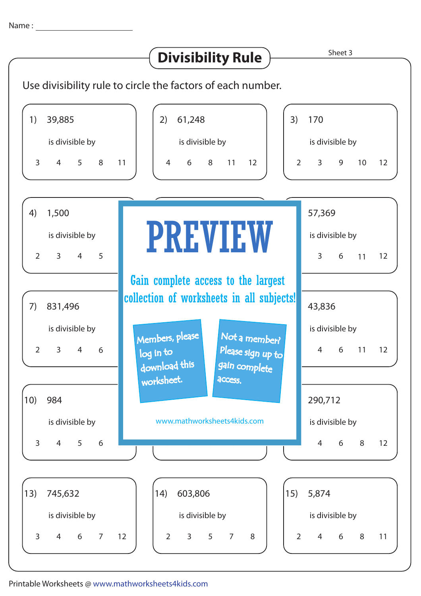